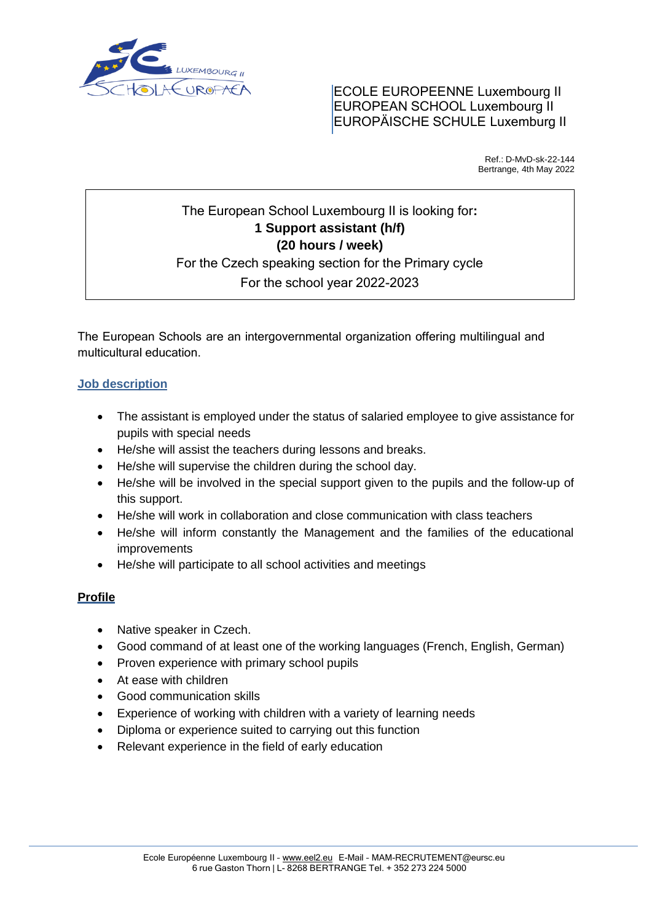

ECOLE EUROPEENNE Luxembourg II EUROPEAN SCHOOL Luxembourg II EUROPÄISCHE SCHULE Luxemburg II

> Ref.: D-MvD-sk-22-144 Bertrange, 4th May 2022

# The European School Luxembourg II is looking for**: 1 Support assistant (h/f) (20 hours / week)** For the Czech speaking section for the Primary cycle For the school year 2022-2023

The European Schools are an intergovernmental organization offering multilingual and multicultural education.

## **Job description**

- The assistant is employed under the status of salaried employee to give assistance for pupils with special needs
- He/she will assist the teachers during lessons and breaks.
- He/she will supervise the children during the school day.
- He/she will be involved in the special support given to the pupils and the follow-up of this support.
- He/she will work in collaboration and close communication with class teachers
- He/she will inform constantly the Management and the families of the educational improvements
- He/she will participate to all school activities and meetings

## **Profile**

- Native speaker in Czech.
- Good command of at least one of the working languages (French, English, German)
- Proven experience with primary school pupils
- At ease with children
- Good communication skills
- Experience of working with children with a variety of learning needs
- Diploma or experience suited to carrying out this function
- Relevant experience in the field of early education